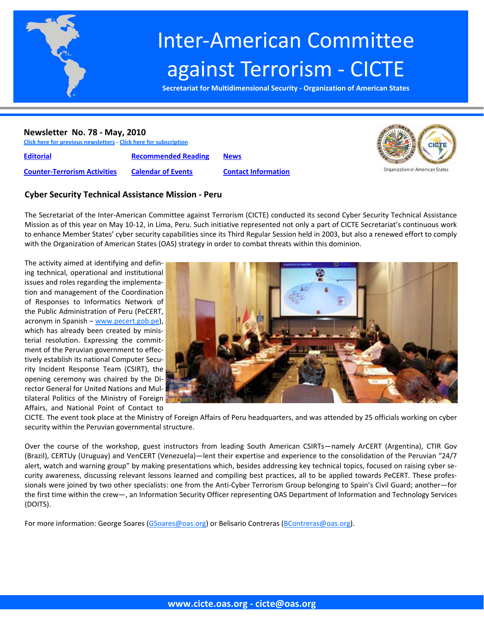

# Inter‐American Committee against Terrorism ‐ CICTE

**Secretariat for Multidimensional Security ‐ Organization of American States**

#### **Newsletter No. 78 ‐ May, 2010**

**Click here for previous newsletters ‐ Click here for subscription**

**Editorial [Recommended](#page-7-0) Reading [News](#page-9-0)**

**Counter‐[Terrorism](#page-3-0) Activities [Calendar](#page-8-0) of Events Contact [Information](#page-14-0)**



# **Cyber Security Technical Assistance Mission ‐ Peru**

The Secretariat of the Inter‐American Committee against Terrorism (CICTE) conducted its second Cyber Security Technical Assistance Mission as of this year on May 10‐12, in Lima, Peru. Such initiative represented not only a part of CICTE Secretariat's continuous work to enhance Member States' cyber security capabilities since its Third Regular Session held in 2003, but also a renewed effort to comply with the Organization of American States (OAS) strategy in order to combat threats within this dominion.

The activity aimed at identifying and defin‐ ing technical, operational and institutional issues and roles regarding the implementa‐ tion and management of the Coordination of Responses to Informatics Network of the Public Administration of Peru (PeCERT, acronym in Spanish − www.pecert.gob.pe), which has already been created by ministerial resolution. Expressing the commit‐ ment of the Peruvian government to effec‐ tively establish its national Computer Secu‐ rity Incident Response Team (CSIRT), the opening ceremony was chaired by the Di‐ rector General for United Nations and Mul‐ tilateral Politics of the Ministry of Foreign Affairs, and National Point of Contact to



CICTE. The event took place at the Ministry of Foreign Affairs of Peru headquarters, and was attended by 25 officials working on cyber security within the Peruvian governmental structure.

Over the course of the workshop, guest instructors from leading South American CSIRTs—namely ArCERT (Argentina), CTIR Gov (Brazil), CERTUy (Uruguay) and VenCERT (Venezuela)—lent their expertise and experience to the consolidation of the Peruvian "24/7 alert, watch and warning group" by making presentations which, besides addressing key technical topics, focused on raising cyber security awareness, discussing relevant lessons learned and compiling best practices, all to be applied towards PeCERT. These profes‐ sionals were joined by two other specialists: one from the Anti-Cyber Terrorism Group belonging to Spain's Civil Guard; another—for the first time within the crew—, an Information Security Officer representing OAS Department of Information and Technology Services (DOITS).

For more information: George Soares (GSoares@oas.org) or Belisario Contreras (BContreras@oas.org).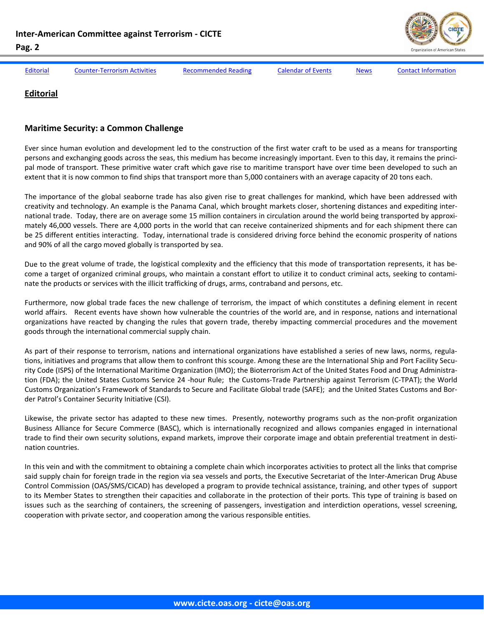

<span id="page-1-0"></span>

Editorial Counter-[Terrorism](#page-3-0) Activities [Recommended](#page-7-0) Reading [Calendar](#page-8-0) of Events [News](#page-9-0) Contact [Information](#page-14-0)

# **Editorial**

#### **Maritime Security: a Common Challenge**

Ever since human evolution and development led to the construction of the first water craft to be used as a means for transporting persons and exchanging goods across the seas, this medium has become increasingly important. Even to this day, it remains the principal mode of transport. These primitive water craft which gave rise to maritime transport have over time been developed to such an extent that it is now common to find ships that transport more than 5,000 containers with an average capacity of 20 tons each.

The importance of the global seaborne trade has also given rise to great challenges for mankind, which have been addressed with creativity and technology. An example is the Panama Canal, which brought markets closer, shortening distances and expediting inter‐ national trade. Today, there are on average some 15 million containers in circulation around the world being transported by approximately 46,000 vessels. There are 4,000 ports in the world that can receive containerized shipments and for each shipment there can be 25 different entities interacting. Today, international trade is considered driving force behind the economic prosperity of nations and 90% of all the cargo moved globally is transported by sea.

Due to the great volume of trade, the logistical complexity and the efficiency that this mode of transportation represents, it has become a target of organized criminal groups, who maintain a constant effort to utilize it to conduct criminal acts, seeking to contaminate the products or services with the illicit trafficking of drugs, arms, contraband and persons, etc.

Furthermore, now global trade faces the new challenge of terrorism, the impact of which constitutes a defining element in recent world affairs. Recent events have shown how vulnerable the countries of the world are, and in response, nations and international organizations have reacted by changing the rules that govern trade, thereby impacting commercial procedures and the movement goods through the international commercial supply chain.

As part of their response to terrorism, nations and international organizations have established a series of new laws, norms, regulations, initiatives and programs that allow them to confront this scourge. Among these are the International Ship and Port Facility Security Code (ISPS) of the International Maritime Organization (IMO); the Bioterrorism Act of the United States Food and Drug Administra‐ tion (FDA); the United States Customs Service 24 -hour Rule; the Customs-Trade Partnership against Terrorism (C-TPAT); the World Customs Organization's Framework of Standards to Secure and Facilitate Global trade (SAFE); and the United States Customs and Bor‐ der Patrol's Container Security Initiative (CSI).

Likewise, the private sector has adapted to these new times. Presently, noteworthy programs such as the non-profit organization Business Alliance for Secure Commerce (BASC), which is internationally recognized and allows companies engaged in international trade to find their own security solutions, expand markets, improve their corporate image and obtain preferential treatment in destination countries.

In this vein and with the commitment to obtaining a complete chain which incorporates activities to protect all the links that comprise said supply chain for foreign trade in the region via sea vessels and ports, the Executive Secretariat of the Inter-American Drug Abuse Control Commission (OAS/SMS/CICAD) has developed a program to provide technical assistance, training, and other types of support to its Member States to strengthen their capacities and collaborate in the protection of their ports. This type of training is based on issues such as the searching of containers, the screening of passengers, investigation and interdiction operations, vessel screening, cooperation with private sector, and cooperation among the various responsible entities.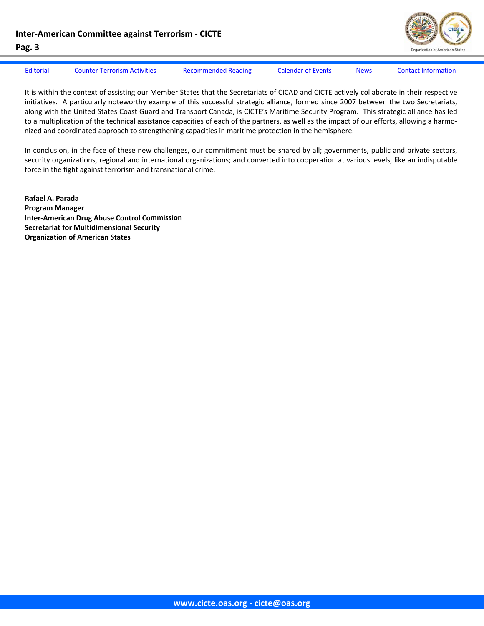

# [Editorial](#page-1-0) Counter-[Terrorism](#page-3-0) Activities [Recommended](#page-7-0) Reading [Calendar](#page-8-0) of Events [News](#page-9-0) Contact [Information](#page-14-0)

It is within the context of assisting our Member States that the Secretariats of CICAD and CICTE actively collaborate in their respective initiatives. A particularly noteworthy example of this successful strategic alliance, formed since 2007 between the two Secretariats, along with the United States Coast Guard and Transport Canada, is CICTE's Maritime Security Program. This strategic alliance has led to a multiplication of the technical assistance capacities of each of the partners, as well as the impact of our efforts, allowing a harmonized and coordinated approach to strengthening capacities in maritime protection in the hemisphere.

In conclusion, in the face of these new challenges, our commitment must be shared by all; governments, public and private sectors, security organizations, regional and international organizations; and converted into cooperation at various levels, like an indisputable force in the fight against terrorism and transnational crime.

**Rafael A. Parada Program Manager Inter‐American Drug Abuse Control Commission Secretariat for Multidimensional Security Organization of American States**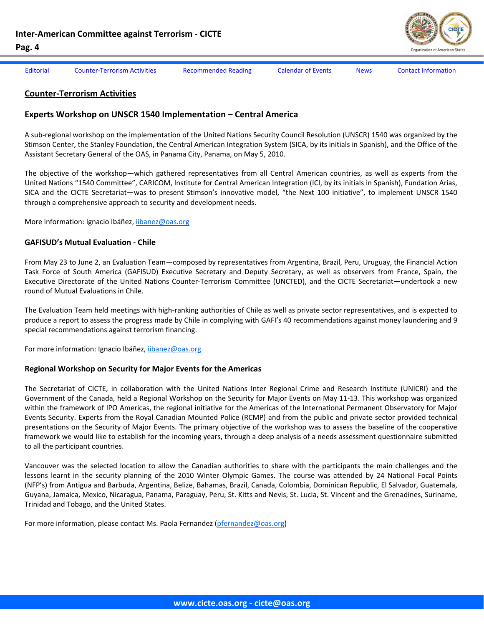

<span id="page-3-0"></span>[Editorial](#page-1-0) Counter-Terrorism Activities [Recommended](#page-7-0) Reading [Calendar](#page-8-0) of Events [News](#page-9-0) Contact [Information](#page-14-0)

#### **Counter‐Terrorism Activities**

#### **Experts Workshop on UNSCR 1540 Implementation – Central America**

A sub‐regional workshop on the implementation of the United Nations Security Council Resolution (UNSCR) 1540 was organized by the Stimson Center, the Stanley Foundation, the Central American Integration System (SICA, by its initials in Spanish), and the Office of the Assistant Secretary General of the OAS, in Panama City, Panama, on May 5, 2010.

The objective of the workshop—which gathered representatives from all Central American countries, as well as experts from the United Nations "1540 Committee", CARICOM, Institute for Central American Integration (ICI, by its initials in Spanish), Fundation Arias, SICA and the CICTE Secretariat—was to present Stimson's innovative model, "the Next 100 initiative", to implement UNSCR 1540 through a comprehensive approach to security and development needs.

More information: Ignacio Ibáñez, ijbanez@oas.org

#### **GAFISUD's Mutual Evaluation ‐ Chile**

From May 23 to June 2, an Evaluation Team—composed by representatives from Argentina, Brazil, Peru, Uruguay, the Financial Action Task Force of South America (GAFISUD) Executive Secretary and Deputy Secretary, as well as observers from France, Spain, the Executive Directorate of the United Nations Counter‐Terrorism Committee (UNCTED), and the CICTE Secretariat—undertook a new round of Mutual Evaluations in Chile.

The Evaluation Team held meetings with high‐ranking authorities of Chile as well as private sector representatives, and is expected to produce a report to assess the progress made by Chile in complying with GAFI's 40 recommendations against money laundering and 9 special recommendations against terrorism financing.

For more information: Ignacio Ibáñez, iibanez@oas.org

#### **Regional Workshop on Security for Major Events for the Americas**

The Secretariat of CICTE, in collaboration with the United Nations Inter Regional Crime and Research Institute (UNICRI) and the Government of the Canada, held a Regional Workshop on the Security for Major Events on May 11‐13. This workshop was organized within the framework of IPO Americas, the regional initiative for the Americas of the International Permanent Observatory for Major Events Security. Experts from the Royal Canadian Mounted Police (RCMP) and from the public and private sector provided technical presentations on the Security of Major Events. The primary objective of the workshop was to assess the baseline of the cooperative framework we would like to establish for the incoming years, through a deep analysis of a needs assessment questionnaire submitted to all the participant countries.

Vancouver was the selected location to allow the Canadian authorities to share with the participants the main challenges and the lessons learnt in the security planning of the 2010 Winter Olympic Games. The course was attended by 24 National Focal Points (NFP's) from Antigua and Barbuda, Argentina, Belize, Bahamas, Brazil, Canada, Colombia, Dominican Republic, El Salvador, Guatemala, Guyana, Jamaica, Mexico, Nicaragua, Panama, Paraguay, Peru, St. Kitts and Nevis, St. Lucia, St. Vincent and the Grenadines, Suriname, Trinidad and Tobago, and the United States.

For more information, please contact Ms. Paola Fernandez (pfernandez@oas.org)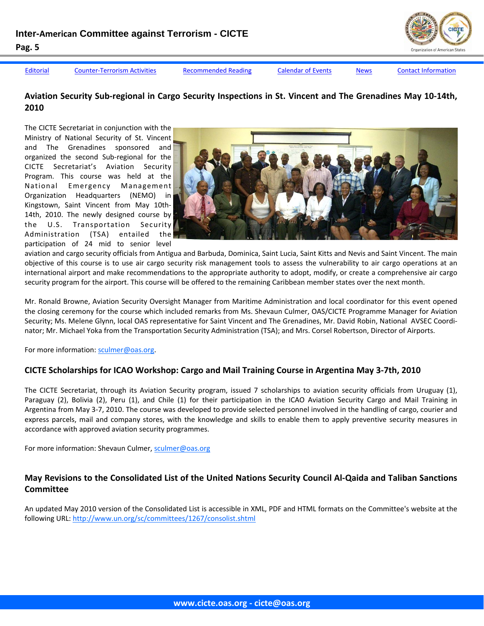

[Editorial](#page-1-0) Counter-[Terrorism](#page-3-0) Activities [Recommended](#page-7-0) Reading [Calendar](#page-8-0) of Events [News](#page-9-0) Contact [Information](#page-14-0)

# Aviation Security Sub-regional in Cargo Security Inspections in St. Vincent and The Grenadines May 10-14th, **2010**

The CICTE Secretariat in conjunction with the Ministry of National Security of St. Vincent and The Grenadines sponsored and organized the second Sub‐regional for the CICTE Secretariat's Aviation Security Program. This course was held at the National Emergency Management Organization Headquarters (NEMO) in Kingstown, Saint Vincent from May 10th‐ 14th, 2010. The newly designed course by the U.S. Transportation Security Administration (TSA) entailed the participation of 24 mid to senior level



aviation and cargo security officials from Antigua and Barbuda, Dominica, Saint Lucia, Saint Kitts and Nevis and Saint Vincent. The main objective of this course is to use air cargo security risk management tools to assess the vulnerability to air cargo operations at an international airport and make recommendations to the appropriate authority to adopt, modify, or create a comprehensive air cargo security program for the airport. This course will be offered to the remaining Caribbean member states over the next month.

Mr. Ronald Browne, Aviation Security Oversight Manager from Maritime Administration and local coordinator for this event opened the closing ceremony for the course which included remarks from Ms. Shevaun Culmer, OAS/CICTE Programme Manager for Aviation Security; Ms. Melene Glynn, local OAS representative for Saint Vincent and The Grenadines, Mr. David Robin, National AVSEC Coordi‐ nator; Mr. Michael Yoka from the Transportation Security Administration (TSA); and Mrs. Corsel Robertson, Director of Airports.

For more information: sculmer@oas.org.

# **CICTE Scholarships for ICAO Workshop: Cargo and Mail Training Course in Argentina May 3‐7th, 2010**

The CICTE Secretariat, through its Aviation Security program, issued 7 scholarships to aviation security officials from Uruguay (1), Paraguay (2), Bolivia (2), Peru (1), and Chile (1) for their participation in the ICAO Aviation Security Cargo and Mail Training in Argentina from May 3‐7, 2010. The course was developed to provide selected personnel involved in the handling of cargo, courier and express parcels, mail and company stores, with the knowledge and skills to enable them to apply preventive security measures in accordance with approved aviation security programmes.

For more information: Shevaun Culmer, sculmer@oas.org

# May Revisions to the Consolidated List of the United Nations Security Council Al-Qaida and Taliban Sanctions **Committee**

An updated May 2010 version of the Consolidated List is accessible in XML, PDF and HTML formats on the Committee's website at the following URL: http://www.un.org/sc/committees/1267/consolist.shtml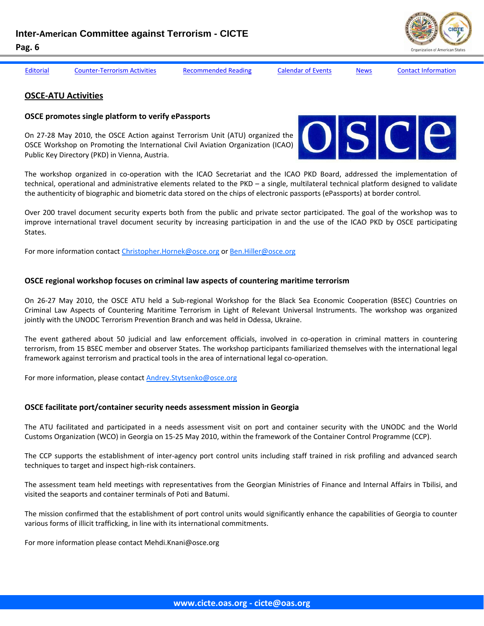

[Editorial](#page-1-0) Counter-[Terrorism](#page-3-0) Activities [Recommended](#page-7-0) Reading [Calendar](#page-8-0) of Events [News](#page-9-0) Contact [Information](#page-14-0)

#### **OSCE‐ATU Activities**

#### **OSCE promotes single platform to verify ePassports**

On 27‐28 May 2010, the OSCE Action against Terrorism Unit (ATU) organized the OSCE Workshop on Promoting the International Civil Aviation Organization (ICAO) Public Key Directory (PKD) in Vienna, Austria.



The workshop organized in co-operation with the ICAO Secretariat and the ICAO PKD Board, addressed the implementation of technical, operational and administrative elements related to the PKD – a single, multilateral technical platform designed to validate the authenticity of biographic and biometric data stored on the chips of electronic passports (ePassports) at border control.

Over 200 travel document security experts both from the public and private sector participated. The goal of the workshop was to improve international travel document security by increasing participation in and the use of the ICAO PKD by OSCE participating States.

For more information contact Christopher.Hornek@osce.org or Ben.Hiller@osce.org

#### **OSCE regional workshop focuses on criminal law aspects of countering maritime terrorism**

On 26‐27 May 2010, the OSCE ATU held a Sub‐regional Workshop for the Black Sea Economic Cooperation (BSEC) Countries on Criminal Law Aspects of Countering Maritime Terrorism in Light of Relevant Universal Instruments. The workshop was organized jointly with the UNODC Terrorism Prevention Branch and was held in Odessa, Ukraine.

The event gathered about 50 judicial and law enforcement officials, involved in co-operation in criminal matters in countering terrorism, from 15 BSEC member and observer States. The workshop participants familiarized themselves with the international legal framework against terrorism and practical tools in the area of international legal co-operation.

For more information, please contact Andrey.Stytsenko@osce.org

#### **OSCE facilitate port/container security needs assessment mission in Georgia**

The ATU facilitated and participated in a needs assessment visit on port and container security with the UNODC and the World Customs Organization (WCO) in Georgia on 15‐25 May 2010, within the framework of the Container Control Programme (CCP).

The CCP supports the establishment of inter-agency port control units including staff trained in risk profiling and advanced search techniques to target and inspect high‐risk containers.

The assessment team held meetings with representatives from the Georgian Ministries of Finance and Internal Affairs in Tbilisi, and visited the seaports and container terminals of Poti and Batumi.

The mission confirmed that the establishment of port control units would significantly enhance the capabilities of Georgia to counter various forms of illicit trafficking, in line with its international commitments.

For more information please contact Mehdi.Knani@osce.org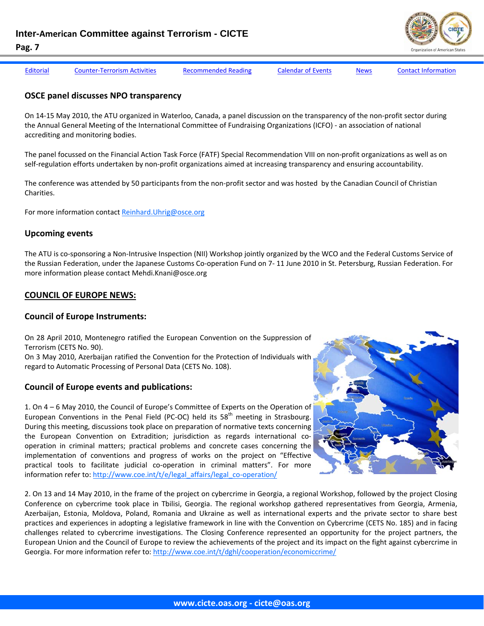

| Editorial | <b>Counter-Terrorism Activities</b> | Recommended Reading | <b>Calendar of Events</b> | <b>News</b> | <b>Contact Information</b> |
|-----------|-------------------------------------|---------------------|---------------------------|-------------|----------------------------|

#### **OSCE panel discusses NPO transparency**

On 14‐15 May 2010, the ATU organized in Waterloo, Canada, a panel discussion on the transparency of the non‐profit sector during the Annual General Meeting of the International Committee of Fundraising Organizations (ICFO) ‐ an association of national accrediting and monitoring bodies.

The panel focussed on the Financial Action Task Force (FATF) Special Recommendation VIII on non‐profit organizations as well as on self-regulation efforts undertaken by non-profit organizations aimed at increasing transparency and ensuring accountability.

The conference was attended by 50 participants from the non-profit sector and was hosted by the Canadian Council of Christian Charities.

For more information contact Reinhard.Uhrig@osce.org

#### **Upcoming events**

**Pag. 7** 

The ATU is co‐sponsoring a Non‐Intrusive Inspection (NII) Workshop jointly organized by the WCO and the Federal Customs Service of the Russian Federation, under the Japanese Customs Co‐operation Fund on 7‐ 11 June 2010 in St. Petersburg, Russian Federation. For more information please contact Mehdi.Knani@osce.org

#### **COUNCIL OF EUROPE NEWS:**

#### **Council of Europe Instruments:**

On 28 April 2010, Montenegro ratified the European Convention on the Suppression of Terrorism (CETS No. 90).

On 3 May 2010, Azerbaijan ratified the Convention for the Protection of Individuals with regard to Automatic Processing of Personal Data (CETS No. 108).

#### **Council of Europe events and publications:**

1. On 4 – 6 May 2010, the Council of Europe's Committee of Experts on the Operation of European Conventions in the Penal Field (PC-OC) held its  $58<sup>th</sup>$  meeting in Strasbourg. During this meeting, discussions took place on preparation of normative texts concerning the European Convention on Extradition; jurisdiction as regards international co‐ operation in criminal matters; practical problems and concrete cases concerning the implementation of conventions and progress of works on the project on "Effective practical tools to facilitate judicial co-operation in criminal matters". For more information refer to: http://www.coe.int/t/e/legal\_affairs/legal\_co-operation/

2. On 13 and 14 May 2010, in the frame of the project on cybercrime in Georgia, a regional Workshop, followed by the project Closing Conference on cybercrime took place in Tbilisi, Georgia. The regional workshop gathered representatives from Georgia, Armenia, Azerbaijan, Estonia, Moldova, Poland, Romania and Ukraine as well as international experts and the private sector to share best practices and experiences in adopting a legislative framework in line with the Convention on Cybercrime (CETS No. 185) and in facing challenges related to cybercrime investigations. The Closing Conference represented an opportunity for the project partners, the European Union and the Council of Europe to review the achievements of the project and its impact on the fight against cybercrime in Georgia. For more information refer to: http://www.coe.int/t/dghl/cooperation/economiccrime/

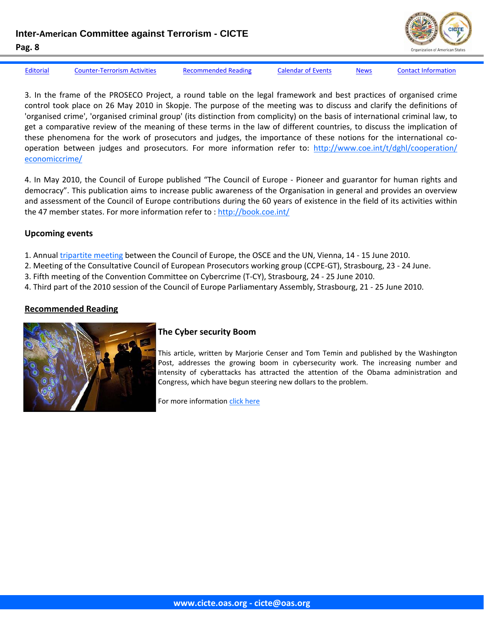<span id="page-7-0"></span>**Inter-American Committee against Terrorism - CICTE** 



**Pag. 8** 

[Editorial](#page-1-0) Counter-[Terrorism](#page-3-0) Activities Recommended Reading [Calendar](#page-8-0) of Events [News](#page-9-0) Contact [Information](#page-14-0)

3. In the frame of the PROSECO Project, a round table on the legal framework and best practices of organised crime control took place on 26 May 2010 in Skopje. The purpose of the meeting was to discuss and clarify the definitions of 'organised crime', 'organised criminal group' (its distinction from complicity) on the basis of international criminal law, to get a comparative review of the meaning of these terms in the law of different countries, to discuss the implication of these phenomena for the work of prosecutors and judges, the importance of these notions for the international co‐ operation between judges and prosecutors. For more information refer to: http://www.coe.int/t/dghl/cooperation/ economiccrime/

4. In May 2010, the Council of Europe published "The Council of Europe - Pioneer and guarantor for human rights and democracy". This publication aims to increase public awareness of the Organisation in general and provides an overview and assessment of the Council of Europe contributions during the 60 years of existence in the field of its activities within the 47 member states. For more information refer to : http://book.coe.int/

# **Upcoming events**

1. Annual tripartite meeting between the Council of Europe, the OSCE and the UN, Vienna, 14 ‐ 15 June 2010.

2. Meeting of the Consultative Council of European Prosecutors working group (CCPE‐GT), Strasbourg, 23 ‐ 24 June.

- 3. Fifth meeting of the Convention Committee on Cybercrime (T‐CY), Strasbourg, 24 ‐ 25 June 2010.
- 4. Third part of the 2010 session of the Council of Europe Parliamentary Assembly, Strasbourg, 21 ‐ 25 June 2010.

# **Recommended Reading**



# **The Cyber security Boom**

This article, written by Marjorie Censer and Tom Temin and published by the Washington Post, addresses the growing boom in cybersecurity work. The increasing number and intensity of cyberattacks has attracted the attention of the Obama administration and Congress, which have begun steering new dollars to the problem.

For more information click [here](http://www.washingtonpost.com/wp-dyn/content/article/2010/05/07/AR2010050704503.html?wpisrc=nl_headline)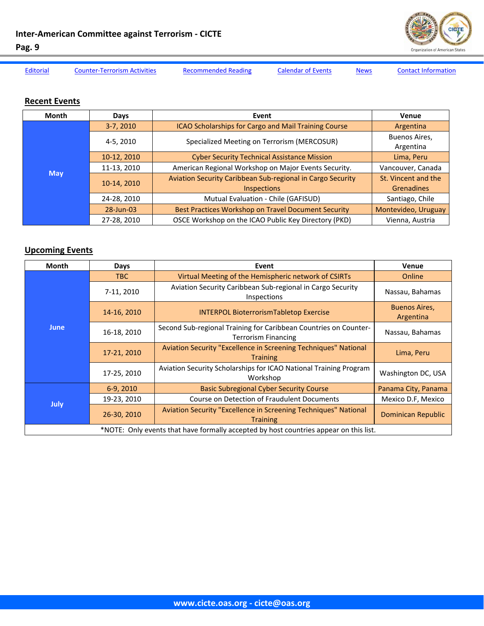

<span id="page-8-0"></span>

[Editorial](#page-1-0) Counter-[Terrorism](#page-3-0) Activities [Recommended](#page-7-0) Reading Calendar of Events [News](#page-9-0) Contact [Information](#page-14-0)

# **Recent Events**

| Month | Days        | Event                                                                            | Venue                                    |
|-------|-------------|----------------------------------------------------------------------------------|------------------------------------------|
|       | $3-7, 2010$ | ICAO Scholarships for Cargo and Mail Training Course                             | Argentina                                |
|       | 4-5, 2010   | Specialized Meeting on Terrorism (MERCOSUR)                                      | Buenos Aires,<br>Argentina               |
|       | 10-12, 2010 | <b>Cyber Security Technical Assistance Mission</b>                               | Lima, Peru                               |
|       | 11-13, 2010 | American Regional Workshop on Major Events Security.                             | Vancouver, Canada                        |
| May   | 10-14, 2010 | Aviation Security Caribbean Sub-regional in Cargo Security<br><b>Inspections</b> | St. Vincent and the<br><b>Grenadines</b> |
|       | 24-28, 2010 | Mutual Evaluation - Chile (GAFISUD)                                              | Santiago, Chile                          |
|       | 28-Jun-03   | <b>Best Practices Workshop on Travel Document Security</b>                       | Montevideo, Uruguay                      |
|       | 27-28, 2010 | OSCE Workshop on the ICAO Public Key Directory (PKD)                             | Vienna, Austria                          |

# **Upcoming Events**

| <b>Month</b>                                                                          | Days        | Event                                                                                          | Venue                             |  |  |  |
|---------------------------------------------------------------------------------------|-------------|------------------------------------------------------------------------------------------------|-----------------------------------|--|--|--|
|                                                                                       | <b>TBC</b>  | Virtual Meeting of the Hemispheric network of CSIRTs                                           | Online                            |  |  |  |
|                                                                                       | 7-11, 2010  | Aviation Security Caribbean Sub-regional in Cargo Security<br>Inspections                      | Nassau, Bahamas                   |  |  |  |
|                                                                                       | 14-16, 2010 | <b>INTERPOL BioterrorismTabletop Exercise</b>                                                  | <b>Buenos Aires,</b><br>Argentina |  |  |  |
| <b>June</b>                                                                           | 16-18, 2010 | Second Sub-regional Training for Caribbean Countries on Counter-<br><b>Terrorism Financing</b> | Nassau, Bahamas                   |  |  |  |
|                                                                                       | 17-21, 2010 | Aviation Security "Excellence in Screening Techniques" National<br><b>Training</b>             | Lima, Peru                        |  |  |  |
|                                                                                       | 17-25, 2010 | Aviation Security Scholarships for ICAO National Training Program<br>Workshop                  | Washington DC, USA                |  |  |  |
|                                                                                       | 6-9, 2010   | <b>Basic Subregional Cyber Security Course</b>                                                 | Panama City, Panama               |  |  |  |
|                                                                                       | 19-23, 2010 | Course on Detection of Fraudulent Documents                                                    | Mexico D.F. Mexico                |  |  |  |
| <b>July</b>                                                                           | 26-30, 2010 | Aviation Security "Excellence in Screening Techniques" National<br><b>Training</b>             | <b>Dominican Republic</b>         |  |  |  |
| *NOTE: Only events that have formally accepted by host countries appear on this list. |             |                                                                                                |                                   |  |  |  |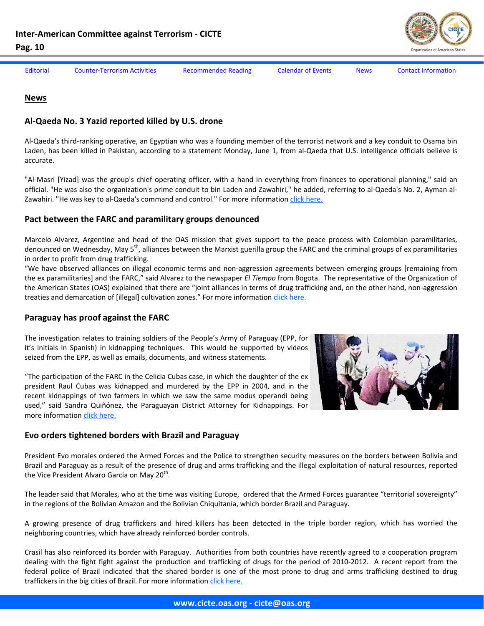

<span id="page-9-0"></span>

[Editorial](#page-1-0) Counter-[Terrorism](#page-3-0) Activities [Recommended](#page-7-0) Reading [Calendar](#page-8-0) of Events News Contact [Information](#page-14-0)

#### **News**

#### **Al‐Qaeda No. 3 Yazid reported killed by U.S. drone**

Al‐Qaeda's third‐ranking operative, an Egyptian who was a founding member of the terrorist network and a key conduit to Osama bin Laden, has been killed in Pakistan, according to a statement Monday, June 1, from al-Qaeda that U.S. intelligence officials believe is accurate.

"Al‐Masri [Yizad] was the group's chief operating officer, with a hand in everything from finances to operational planning," said an official. "He was also the organization's prime conduit to bin Laden and Zawahiri," he added, referring to al‐Qaeda's No. 2, Ayman al‐ Zawahiri. "He was key to al-Qaeda's command and control." For more information click [here.](http://www.washingtonpost.com/wp-dyn/content/article/2010/06/01/AR2010060100466.html?hpid%3Dtopnews&sub=AR)

# **Pact between the FARC and paramilitary groups denounced**

Marcelo Alvarez, Argentine and head of the OAS mission that gives support to the peace process with Colombian paramilitaries, denounced on Wednesday, May 5<sup>th</sup>, alliances between the Marxist guerilla group the FARC and the criminal groups of ex paramilitaries in order to profit from drug trafficking.

"We have observed alliances on illegal economic terms and non‐aggression agreements between emerging groups [remaining from the ex paramilitaries] and the FARC," said Alvarez to the newspaper *El Tiempo* from Bogota. The representative of the Organization of the American States (OAS) explained that there are "joint alliances in terms of drug trafficking and, on the other hand, non‐aggression treaties and demarcation of [illegal] cultivation zones." For more information click [here.](http://www.elnuevoherald.com/2010/05/06/712731/denuncian-pacto-entre-las-farc.html)

# **Paraguay has proof against the FARC**

The investigation relates to training soldiers of the People's Army of Paraguay (EPP, for it's initials in Spanish) in kidnapping techniques. This would be supported by videos seized from the EPP, as well as emails, documents, and witness statements.

"The participation of the FARC in the Celicia Cubas case, in which the daughter of the ex president Raul Cubas was kidnapped and murdered by the EPP in 2004, and in the recent kidnappings of two farmers in which we saw the same modus operandi being used," said Sandra Quiñónez, the Paraguayan District Attorney for Kidnappings. For more information click [here.](http://www.eltiempo.com/colombia/justicia/paraguay-tiene-en-la-mira-a-las-farc_7712749-1)



# **Evo orders tightened borders with Brazil and Paraguay**

President Evo morales ordered the Armed Forces and the Police to strengthen security measures on the borders between Bolivia and Brazil and Paraguay as a result of the presence of drug and arms trafficking and the illegal exploitation of natural resources, reported the Vice President Alvaro Garcia on May 20<sup>th</sup>.

The leader said that Morales, who at the time was visiting Europe, ordered that the Armed Forces guarantee "territorial sovereignty" in the regions of the Bolivian Amazon and the Bolivian Chiquitanía, which border Brazil and Paraguay.

A growing presence of drug traffickers and hired killers has been detected in the triple border region, which has worried the neighboring countries, which have already reinforced border controls.

Crasil has also reinforced its border with Paraguay. Authorities from both countries have recently agreed to a cooperation program dealing with the fight fight against the production and trafficking of drugs for the period of 2010-2012. A recent report from the federal police of Brazil indicated that the shared border is one of the most prone to drug and arms trafficking destined to drug traffickers in the big cities of Brazil. For more information click [here.](http://www.washingtonpost.com/wp-dyn/content/article/2010/05/07/AR2010050704503.html?wpisrc=nl_headline)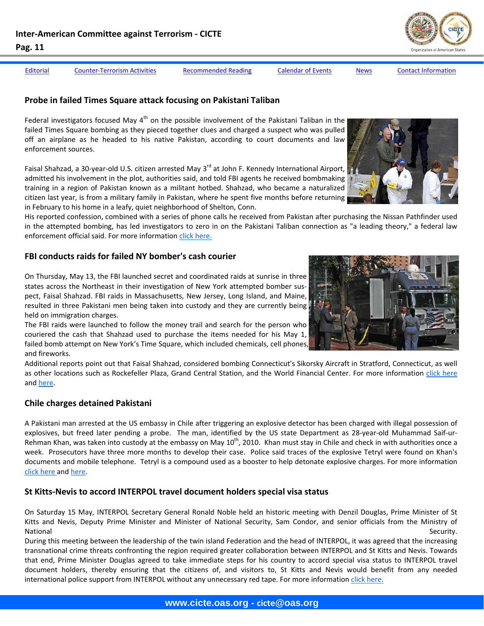[Editorial](#page-1-0) Counter-[Terrorism](#page-3-0) Activities [Recommended](#page-7-0) Reading [Calendar](#page-8-0) of Events [News](#page-9-0) Contact [Information](#page-14-0)

# **Probe in failed Times Square attack focusing on Pakistani Taliban**

Federal investigators focused May  $4<sup>th</sup>$  on the possible involvement of the Pakistani Taliban in the failed Times Square bombing as they pieced together clues and charged a suspect who was pulled off an airplane as he headed to his native Pakistan, according to court documents and law enforcement sources.

Faisal Shahzad, a 30-year-old U.S. citizen arrested May 3<sup>rd</sup> at John F. Kennedy International Airport, admitted his involvement in the plot, authorities said, and told FBI agents he received bombmaking training in a region of Pakistan known as a militant hotbed. Shahzad, who became a naturalized citizen last year, is from a military family in Pakistan, where he spent five months before returning in February to his home in a leafy, quiet neighborhood of Shelton, Conn.

His reported confession, combined with a series of phone calls he received from Pakistan after purchasing the Nissan Pathfinder used in the attempted bombing, has led investigators to zero in on the Pakistani Taliban connection as "a leading theory," a federal law enforcement official said. For more information click [here.](http://www.washingtonpost.com/wp-dyn/content/article/2010/05/04/AR2010050400192.html?hpid=topnews)

# **FBI conducts raids for failed NY bomber's cash courier**

On Thursday, May 13, the FBI launched secret and coordinated raids at sunrise in three states across the Northeast in their investigation of New York attempted bomber sus‐ pect, Faisal Shahzad. FBI raids in Massachusetts, New Jersey, Long Island, and Maine, resulted in three Pakistani men being taken into custody and they are currently being held on immigration charges.

The FBI raids were launched to follow the money trail and search for the person who couriered the cash that Shahzad used to purchase the items needed for his May 1, failed bomb attempt on New York's Time Square, which included chemicals, cell phones, and fireworks.

Additional reports point out that Faisal Shahzad, considered bombing Connecticut's Sikorsky Aircraft in Stratford, Connecticut, as well as other locations such as Rockefeller Plaza, Grand Central Station, and the World Financial Center. For more information click [here](http://www.allvoices.com/contributed-news/5821504-fbi-conducts-raids-for-failed-ny-bombers-cash-currier) and [here.](http://www.associatedcontent.com/article/3014546/failed_terrorist_had_sights_on_targeting.html?cat=9)

#### **Chile charges detained Pakistani**

A Pakistani man arrested at the US embassy in Chile after triggering an explosive detector has been charged with illegal possession of explosives, but freed later pending a probe. The man, identified by the US state Department as 28-year-old Muhammad Saif-ur-Rehman Khan, was taken into custody at the embassy on May  $10^{th}$ , 2010. Khan must stay in Chile and check in with authorities once a week. Prosecutors have three more months to develop their case. Police said traces of the explosive Tetryl were found on Khan's documents and mobile telephone. Tetryl is a compound used as a booster to help detonate explosive charges. For more information click [here](http://english.aljazeera.net/news/americas/2010/05/201051265646931399.html or) and [here.](http://diario.elmercurio.cl/detalle/index.asp?id={bef35353-7d15-4160-8958-9372d3d286ff})

# **St Kitts‐Nevis to accord INTERPOL travel document holders special visa status**

On Saturday 15 May, INTERPOL Secretary General Ronald Noble held an historic meeting with Denzil Douglas, Prime Minister of St Kitts and Nevis, Deputy Prime Minister and Minister of National Security, Sam Condor, and senior officials from the Ministry of National Security.

During this meeting between the leadership of the twin island Federation and the head of INTERPOL, it was agreed that the increasing transnational crime threats confronting the region required greater collaboration between INTERPOL and St Kitts and Nevis. Towards that end, Prime Minister Douglas agreed to take immediate steps for his country to accord special visa status to INTERPOL travel document holders, thereby ensuring that the citizens of, and visitors to, St Kitts and Nevis would benefit from any needed international police support from INTERPOL without any unnecessary red tape. For more information click [here.](http://www.caribbeannetnews.com/news-23186--35-35--.html)





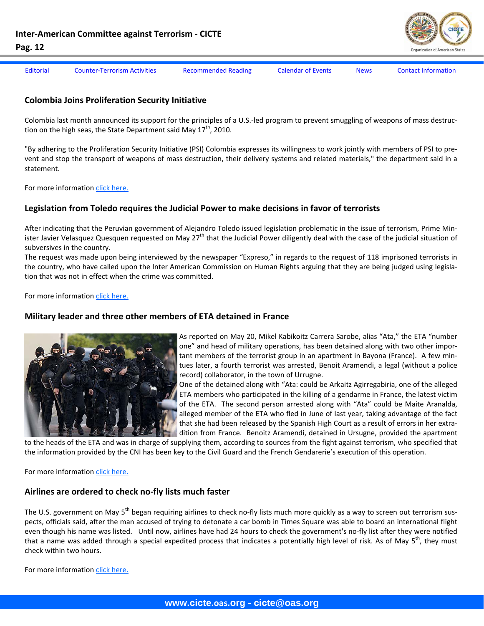

[Editorial](#page-1-0) Counter-[Terrorism](#page-3-0) Activities [Recommended](#page-7-0) Reading [Calendar](#page-8-0) of Events [News](#page-9-0) Contact [Information](#page-14-0)

# **Colombia Joins Proliferation Security Initiative**

Colombia last month announced its support for the principles of a U.S.‐led program to prevent smuggling of weapons of mass destruc‐ tion on the high seas, the State Department said May  $17<sup>th</sup>$ , 2010.

"By adhering to the Proliferation Security Initiative (PSI) Colombia expresses its willingness to work jointly with members of PSI to pre‐ vent and stop the transport of weapons of mass destruction, their delivery systems and related materials," the department said in a statement.

For more information click [here.](http://gsn.nti.org/gsn/nw_20100518_3102.php)

# **Legislation from Toledo requires the Judicial Power to make decisions in favor of terrorists**

After indicating that the Peruvian government of Alejandro Toledo issued legislation problematic in the issue of terrorism, Prime Min‐ ister Javier Velasquez Quesquen requested on May  $27<sup>th</sup>$  that the Judicial Power diligently deal with the case of the judicial situation of subversives in the country.

The request was made upon being interviewed by the newspaper "Expreso," in regards to the request of 118 imprisoned terrorists in the country, who have called upon the Inter American Commission on Human Rights arguing that they are being judged using legislation that was not in effect when the crime was committed.

For more information click [here.](http://www.expreso.com.pe/edicion/index.php?option=com_content&task=view&id=102124&Itemid=32)

#### **Military leader and three other members of ETA detained in France**



As reported on May 20, Mikel Kabikoitz Carrera Sarobe, alias "Ata," the ETA "number one" and head of military operations, has been detained along with two other impor‐ tant members of the terrorist group in an apartment in Bayona (France). A few min‐ tues later, a fourth terrorist was arrested, Benoit Aramendi, a legal (without a police record) collaborator, in the town of Urrugne.

One of the detained along with "Ata: could be Arkaitz Agirregabiria, one of the alleged ETA members who participated in the killing of a gendarme in France, the latest victim of the ETA. The second person arrested along with "Ata" could be Maite Aranalda, alleged member of the ETA who fled in June of last year, taking advantage of the fact that she had been released by the Spanish High Court as a result of errors in her extra‐ dition from France. Benoitz Aramendi, detained in Ursugne, provided the apartment

to the heads of the ETA and was in charge of supplying them, according to sources from the fight against terrorism, who specified that the information provided by the CNI has been key to the Civil Guard and the French Gendarerie's execution of this operation.

For more information click [here.](http://www.elmundo.es/elmundo/2010/05/20/espana/1274329802.html)

# **Airlines are ordered to check no‐fly lists much faster**

The U.S. government on May 5<sup>th</sup> began requiring airlines to check no-fly lists much more quickly as a way to screen out terrorism suspects, officials said, after the man accused of trying to detonate a car bomb in Times Square was able to board an international flight even though his name was listed. Until now, airlines have had 24 hours to check the government's no‐fly list after they were notified that a name was added through a special expedited process that indicates a potentially high level of risk. As of May  $5^{th}$ , they must check within two hours.

For more information click [here.](http://www.washingtonpost.com/wp-dyn/content/article/2010/05/05/AR2010050501536.html?hpid=topnews)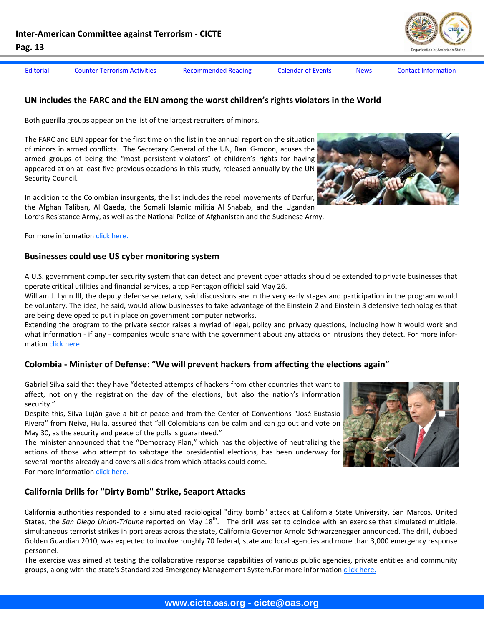[Editorial](#page-1-0) Counter-[Terrorism](#page-3-0) Activities [Recommended](#page-7-0) Reading [Calendar](#page-8-0) of Events [News](#page-9-0) Contact [Information](#page-14-0)



#### **UN includes the FARC and the ELN among the worst children's rights violators in the World**

Both guerilla groups appear on the list of the largest recruiters of minors.

The FARC and ELN appear for the first time on the list in the annual report on the situation of minors in armed conflicts. The Secretary General of the UN, Ban Ki-moon, acuses the armed groups of being the "most persistent violators" of children's rights for having appeared at on at least five previous occacions in this study, released annually by the UN Security Council.

In addition to the Colombian insurgents, the list includes the rebel movements of Darfur, the Afghan Taliban, Al Qaeda, the Somali Islamic militia Al Shabab, and the Ugandan Lord's Resistance Army, as well as the National Police of Afghanistan and the Sudanese Army.

For more information click [here.](http://www.eltiempo.com/colombia/justicia/farc-y-eln-entre-los-peores-violadores-de-los-derechos-de-los-ninos_7719276-1)

#### **Businesses could use US cyber monitoring system**

A U.S. government computer security system that can detect and prevent cyber attacks should be extended to private businesses that operate critical utilities and financial services, a top Pentagon official said May 26.

William J. Lynn III, the deputy defense secretary, said discussions are in the very early stages and participation in the program would be voluntary. The idea, he said, would allow businesses to take advantage of the Einstein 2 and Einstein 3 defensive technologies that are being developed to put in place on government computer networks.

Extending the program to the private sector raises a myriad of legal, policy and privacy questions, including how it would work and what information - if any - companies would share with the government about any attacks or intrusions they detect. For more information click [here.](http://www.washingtonpost.com/wp-dyn/content/article/2010/05/26/AR2010052604634.html)

# **Colombia ‐ Minister of Defense: "We will prevent hackers from affecting the elections again"**

Gabriel Silva said that they have "detected attempts of hackers from other countries that want to affect, not only the registration the day of the elections, but also the nation's information security."

Despite this, Silva Luján gave a bit of peace and from the Center of Conventions "José Eustasio Rivera" from Neiva, Huila, assured that "all Colombians can be calm and can go out and vote on May 30, as the security and peace of the polls is guaranteed."

The minister announced that the "Democracy Plan," which has the objective of neutralizing the actions of those who attempt to sabotage the presidential elections, has been underway for several months already and covers all sides from which attacks could come.

For more information click [here.](http://www.eltiempo.com/colombia/politica/ministro-de-defensa-lanza-plan-democracia-_7718973-1)

# **California Drills for "Dirty Bomb" Strike, Seaport Attacks**

California authorities responded to a simulated radiological "dirty bomb" attack at California State University, San Marcos, United States, the San Diego Union-Tribune reported on May 18<sup>th</sup>. The drill was set to coincide with an exercise that simulated multiple, simultaneous terrorist strikes in port areas across the state, California Governor Arnold Schwarzenegger announced. The drill, dubbed Golden Guardian 2010, was expected to involve roughly 70 federal, state and local agencies and more than 3,000 emergency response personnel.

The exercise was aimed at testing the collaborative response capabilities of various public agencies, private entities and community groups, along with the state's Standardized Emergency Management System.For more information click [here.](http://gsn.nti.org/gsn/nw_20100521_3945.php)

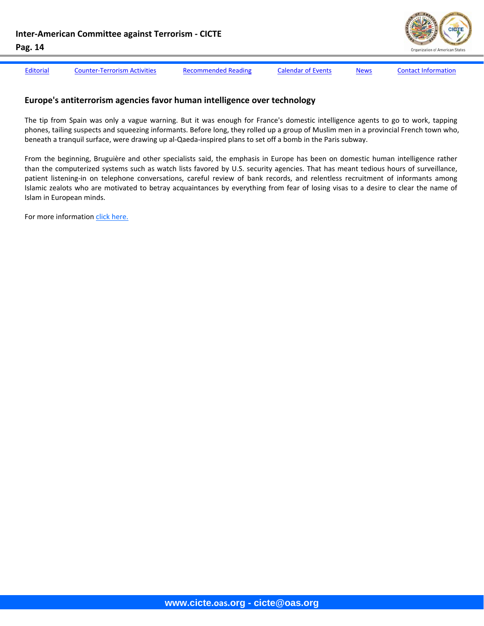

[Editorial](#page-1-0) Counter-[Terrorism](#page-3-0) Activities [Recommended](#page-7-0) Reading [Calendar](#page-8-0) of Events [News](#page-9-0) Contact [Information](#page-14-0)

#### **Europe's antiterrorism agencies favor human intelligence over technology**

The tip from Spain was only a vague warning. But it was enough for France's domestic intelligence agents to go to work, tapping phones, tailing suspects and squeezing informants. Before long, they rolled up a group of Muslim men in a provincial French town who, beneath a tranquil surface, were drawing up al‐Qaeda‐inspired plans to set off a bomb in the Paris subway.

From the beginning, Bruguière and other specialists said, the emphasis in Europe has been on domestic human intelligence rather than the computerized systems such as watch lists favored by U.S. security agencies. That has meant tedious hours of surveillance, patient listening-in on telephone conversations, careful review of bank records, and relentless recruitment of informants among Islamic zealots who are motivated to betray acquaintances by everything from fear of losing visas to a desire to clear the name of Islam in European minds.

For more information click [here.](http://www.washingtonpost.com/wp-dyn/content/article/2010/05/12/AR2010051204361.html)